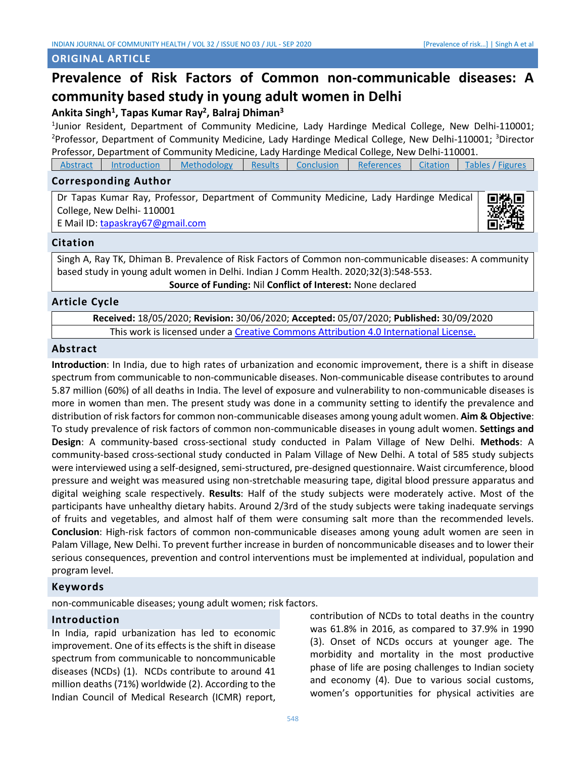### **ORIGINAL ARTICLE**

# **Prevalence of Risk Factors of Common non-communicable diseases: A community based study in young adult women in Delhi**

# **Ankita Singh<sup>1</sup> , Tapas Kumar Ray<sup>2</sup> , Balraj Dhiman<sup>3</sup>**

1 Junior Resident, Department of Community Medicine, Lady Hardinge Medical College, New Delhi-110001; <sup>2</sup>Professor, Department of Community Medicine, Lady Hardinge Medical College, New Delhi-110001; <sup>3</sup>Director Professor, Department of Community Medicine, Lady Hardinge Medical College, New Delhi-110001.

| Abstract | Introduction | <b>Methodology</b> | Results | Conclusion | <b>References</b> | <b>Citation</b> | Tables / Figures |
|----------|--------------|--------------------|---------|------------|-------------------|-----------------|------------------|
|----------|--------------|--------------------|---------|------------|-------------------|-----------------|------------------|

# **Corresponding Author**

Dr Tapas Kumar Ray, Professor, Department of Community Medicine, Lady Hardinge Medical College, New Delhi- 110001 E Mail ID[: tapaskray67@gmail.com](mailto:tapaskray67@gmail.com)



#### **Citation**

Singh A, Ray TK, Dhiman B. Prevalence of Risk Factors of Common non-communicable diseases: A community based study in young adult women in Delhi. Indian J Comm Health. 2020;32(3):548-553.

<span id="page-0-0"></span>**Source of Funding:** Nil **Conflict of Interest:** None declared

# **Article Cycle**

**Received:** 18/05/2020; **Revision:** 30/06/2020; **Accepted:** 05/07/2020; **Published:** 30/09/2020 This work is licensed under a [Creative Commons Attribution 4.0 International License.](http://creativecommons.org/licenses/by/4.0/)

#### **Abstract**

**Introduction**: In India, due to high rates of urbanization and economic improvement, there is a shift in disease spectrum from communicable to non-communicable diseases. Non-communicable disease contributes to around 5.87 million (60%) of all deaths in India. The level of exposure and vulnerability to non-communicable diseases is more in women than men. The present study was done in a community setting to identify the prevalence and distribution of risk factors for common non-communicable diseases among young adult women. **Aim & Objective**: To study prevalence of risk factors of common non-communicable diseases in young adult women. **Settings and Design**: A community-based cross-sectional study conducted in Palam Village of New Delhi. **Methods**: A community-based cross-sectional study conducted in Palam Village of New Delhi. A total of 585 study subjects were interviewed using a self-designed, semi-structured, pre-designed questionnaire. Waist circumference, blood pressure and weight was measured using non-stretchable measuring tape, digital blood pressure apparatus and digital weighing scale respectively. **Results**: Half of the study subjects were moderately active. Most of the participants have unhealthy dietary habits. Around 2/3rd of the study subjects were taking inadequate servings of fruits and vegetables, and almost half of them were consuming salt more than the recommended levels. **Conclusion**: High-risk factors of common non-communicable diseases among young adult women are seen in Palam Village, New Delhi. To prevent further increase in burden of noncommunicable diseases and to lower their serious consequences, prevention and control interventions must be implemented at individual, population and program level.

# **Keywords**

non-communicable diseases; young adult women; risk factors.

#### **Introduction**

In India, rapid urbanization has led to economic improvement. One of its effects is the shift in disease spectrum from communicable to noncommunicable diseases (NCDs) (1). NCDs contribute to around 41 million deaths (71%) worldwide (2). According to the Indian Council of Medical Research (ICMR) report, contribution of NCDs to total deaths in the country was 61.8% in 2016, as compared to 37.9% in 1990 (3). Onset of NCDs occurs at younger age. The morbidity and mortality in the most productive phase of life are posing challenges to Indian society and economy (4). Due to various social customs, women's opportunities for physical activities are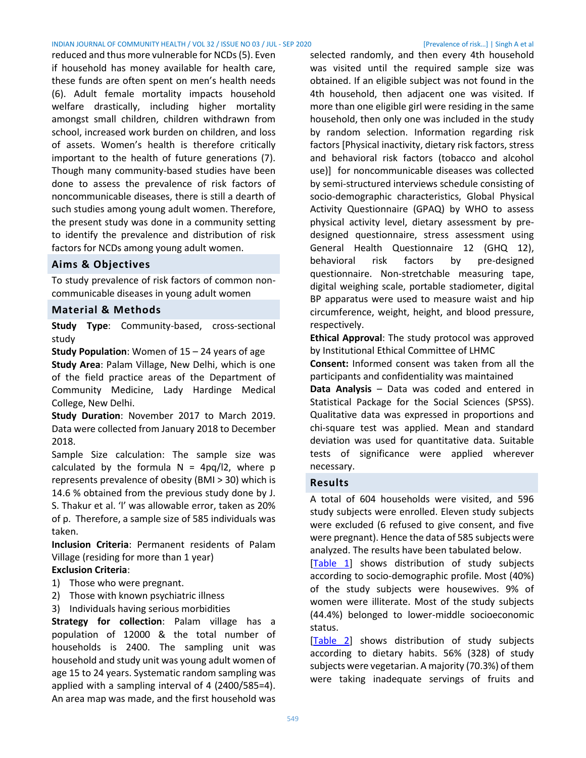#### INDIAN JOURNAL OF COMMUNITY HEALTH / VOL 32 / ISSUE NO 03 / JUL - SEP 2020 [Prevalence of risk…] | Singh A et al

reduced and thus more vulnerable for NCDs (5). Even if household has money available for health care, these funds are often spent on men's health needs (6). Adult female mortality impacts household welfare drastically, including higher mortality amongst small children, children withdrawn from school, increased work burden on children, and loss of assets. Women's health is therefore critically important to the health of future generations (7). Though many community-based studies have been done to assess the prevalence of risk factors of noncommunicable diseases, there is still a dearth of such studies among young adult women. Therefore, the present study was done in a community setting to identify the prevalence and distribution of risk factors for NCDs among young adult women.

#### **Aims & Objectives**

To study prevalence of risk factors of common noncommunicable diseases in young adult women

#### <span id="page-1-0"></span>**Material & Methods**

**Study Type**: Community-based, cross-sectional study

**Study Population**: Women of 15 – 24 years of age **Study Area**: Palam Village, New Delhi, which is one of the field practice areas of the Department of Community Medicine, Lady Hardinge Medical College, New Delhi.

**Study Duration**: November 2017 to March 2019. Data were collected from January 2018 to December 2018.

Sample Size calculation: The sample size was calculated by the formula  $N = 4pq/l2$ , where p represents prevalence of obesity (BMI > 30) which is 14.6 % obtained from the previous study done by J. S. Thakur et al. 'l' was allowable error, taken as 20% of p. Therefore, a sample size of 585 individuals was taken.

**Inclusion Criteria**: Permanent residents of Palam Village (residing for more than 1 year)

#### **Exclusion Criteria**:

- 1) Those who were pregnant.
- 2) Those with known psychiatric illness
- 3) Individuals having serious morbidities

**Strategy for collection**: Palam village has a population of 12000 & the total number of households is 2400. The sampling unit was household and study unit was young adult women of age 15 to 24 years. Systematic random sampling was applied with a sampling interval of 4 (2400/585=4). An area map was made, and the first household was

selected randomly, and then every 4th household was visited until the required sample size was obtained. If an eligible subject was not found in the 4th household, then adjacent one was visited. If more than one eligible girl were residing in the same household, then only one was included in the study by random selection. Information regarding risk factors [Physical inactivity, dietary risk factors, stress and behavioral risk factors (tobacco and alcohol use)] for noncommunicable diseases was collected by semi-structured interviews schedule consisting of socio-demographic characteristics, Global Physical Activity Questionnaire (GPAQ) by WHO to assess physical activity level, dietary assessment by predesigned questionnaire, stress assessment using General Health Questionnaire 12 (GHQ 12), behavioral risk factors by pre-designed questionnaire. Non-stretchable measuring tape, digital weighing scale, portable stadiometer, digital BP apparatus were used to measure waist and hip circumference, weight, height, and blood pressure, respectively.

**Ethical Approval**: The study protocol was approved by Institutional Ethical Committee of LHMC

**Consent:** Informed consent was taken from all the participants and confidentiality was maintained

**Data Analysis** – Data was coded and entered in Statistical Package for the Social Sciences (SPSS). Qualitative data was expressed in proportions and chi-square test was applied. Mean and standard deviation was used for quantitative data. Suitable tests of significance were applied wherever necessary.

#### <span id="page-1-1"></span>**Results**

A total of 604 households were visited, and 596 study subjects were enrolled. Eleven study subjects were excluded (6 refused to give consent, and five were pregnant). Hence the data of 585 subjects were analyzed. The results have been tabulated below.

[\[Table 1\]](#page-4-0) shows distribution of study subjects according to socio-demographic profile. Most (40%) of the study subjects were housewives. 9% of women were illiterate. Most of the study subjects (44.4%) belonged to lower-middle socioeconomic status.

[\[Table 2\]](#page-5-0) shows distribution of study subjects according to dietary habits. 56% (328) of study subjects were vegetarian. A majority (70.3%) of them were taking inadequate servings of fruits and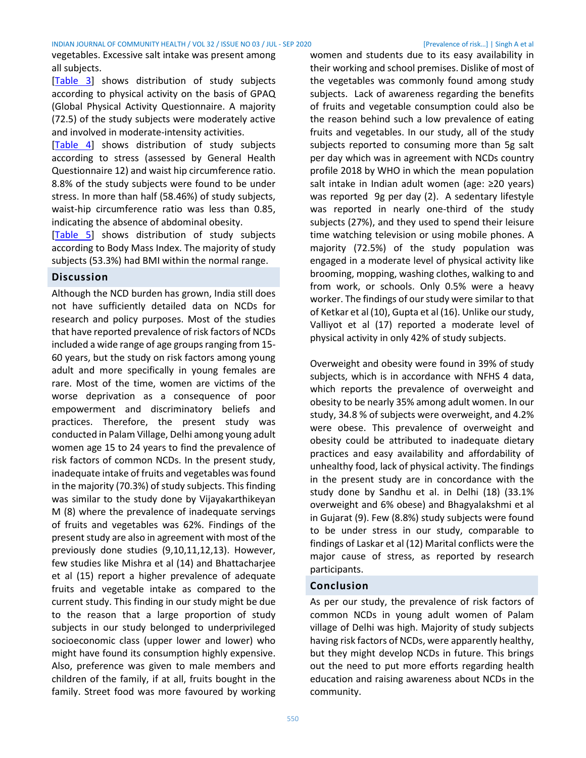vegetables. Excessive salt intake was present among all subjects.

[\[Table 3\]](#page-5-1) shows distribution of study subjects according to physical activity on the basis of GPAQ (Global Physical Activity Questionnaire. A majority (72.5) of the study subjects were moderately active and involved in moderate-intensity activities.

[\[Table 4\]](#page-5-2) shows distribution of study subjects according to stress (assessed by General Health Questionnaire 12) and waist hip circumference ratio. 8.8% of the study subjects were found to be under stress. In more than half (58.46%) of study subjects, waist-hip circumference ratio was less than 0.85, indicating the absence of abdominal obesity.

[\[Table 5\]](#page-5-3) shows distribution of study subjects according to Body Mass Index. The majority of study subjects (53.3%) had BMI within the normal range.

# **Discussion**

Although the NCD burden has grown, India still does not have sufficiently detailed data on NCDs for research and policy purposes. Most of the studies that have reported prevalence of risk factors of NCDs included a wide range of age groups ranging from 15- 60 years, but the study on risk factors among young adult and more specifically in young females are rare. Most of the time, women are victims of the worse deprivation as a consequence of poor empowerment and discriminatory beliefs and practices. Therefore, the present study was conducted in Palam Village, Delhi among young adult women age 15 to 24 years to find the prevalence of risk factors of common NCDs. In the present study, inadequate intake of fruits and vegetables was found in the majority (70.3%) of study subjects. This finding was similar to the study done by Vijayakarthikeyan M (8) where the prevalence of inadequate servings of fruits and vegetables was 62%. Findings of the present study are also in agreement with most of the previously done studies (9,10,11,12,13). However, few studies like Mishra et al (14) and Bhattacharjee et al (15) report a higher prevalence of adequate fruits and vegetable intake as compared to the current study. This finding in our study might be due to the reason that a large proportion of study subjects in our study belonged to underprivileged socioeconomic class (upper lower and lower) who might have found its consumption highly expensive. Also, preference was given to male members and children of the family, if at all, fruits bought in the family. Street food was more favoured by working women and students due to its easy availability in their working and school premises. Dislike of most of the vegetables was commonly found among study subjects. Lack of awareness regarding the benefits of fruits and vegetable consumption could also be the reason behind such a low prevalence of eating fruits and vegetables. In our study, all of the study subjects reported to consuming more than 5g salt per day which was in agreement with NCDs country profile 2018 by WHO in which the mean population salt intake in Indian adult women (age: ≥20 years) was reported 9g per day (2). A sedentary lifestyle was reported in nearly one-third of the study subjects (27%), and they used to spend their leisure time watching television or using mobile phones. A majority (72.5%) of the study population was engaged in a moderate level of physical activity like brooming, mopping, washing clothes, walking to and from work, or schools. Only 0.5% were a heavy worker. The findings of our study were similar to that of Ketkar et al (10), Gupta et al (16). Unlike our study, Valliyot et al (17) reported a moderate level of physical activity in only 42% of study subjects.

Overweight and obesity were found in 39% of study subjects, which is in accordance with NFHS 4 data, which reports the prevalence of overweight and obesity to be nearly 35% among adult women. In our study, 34.8 % of subjects were overweight, and 4.2% were obese. This prevalence of overweight and obesity could be attributed to inadequate dietary practices and easy availability and affordability of unhealthy food, lack of physical activity. The findings in the present study are in concordance with the study done by Sandhu et al. in Delhi (18) (33.1% overweight and 6% obese) and Bhagyalakshmi et al in Gujarat (9). Few (8.8%) study subjects were found to be under stress in our study, comparable to findings of Laskar et al (12) Marital conflicts were the major cause of stress, as reported by research participants.

# <span id="page-2-0"></span>**Conclusion**

As per our study, the prevalence of risk factors of common NCDs in young adult women of Palam village of Delhi was high. Majority of study subjects having risk factors of NCDs, were apparently healthy, but they might develop NCDs in future. This brings out the need to put more efforts regarding health education and raising awareness about NCDs in the community.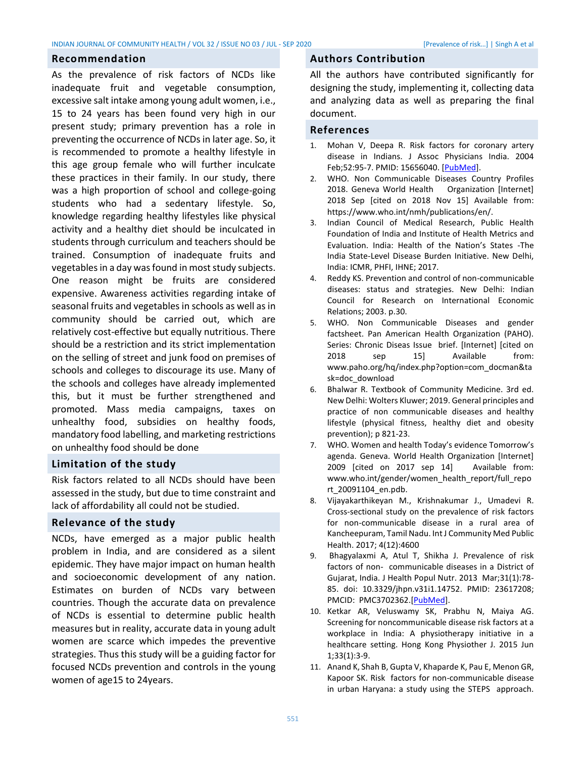#### INDIAN JOURNAL OF COMMUNITY HEALTH / VOL 32 / ISSUE NO 03 / JUL - SEP 2020 [Prevalence of risk…] | Singh A et al

#### **Recommendation**

As the prevalence of risk factors of NCDs like inadequate fruit and vegetable consumption, excessive salt intake among young adult women, i.e., 15 to 24 years has been found very high in our present study; primary prevention has a role in preventing the occurrence of NCDs in later age. So, it is recommended to promote a healthy lifestyle in this age group female who will further inculcate these practices in their family. In our study, there was a high proportion of school and college-going students who had a sedentary lifestyle. So, knowledge regarding healthy lifestyles like physical activity and a healthy diet should be inculcated in students through curriculum and teachers should be trained. Consumption of inadequate fruits and vegetables in a day was found in most study subjects. One reason might be fruits are considered expensive. Awareness activities regarding intake of seasonal fruits and vegetables in schools as well as in community should be carried out, which are relatively cost-effective but equally nutritious. There should be a restriction and its strict implementation on the selling of street and junk food on premises of schools and colleges to discourage its use. Many of the schools and colleges have already implemented this, but it must be further strengthened and promoted. Mass media campaigns, taxes on unhealthy food, subsidies on healthy foods, mandatory food labelling, and marketing restrictions on unhealthy food should be done

# **Limitation of the study**

Risk factors related to all NCDs should have been assessed in the study, but due to time constraint and lack of affordability all could not be studied.

#### **Relevance of the study**

NCDs, have emerged as a major public health problem in India, and are considered as a silent epidemic. They have major impact on human health and socioeconomic development of any nation. Estimates on burden of NCDs vary between countries. Though the accurate data on prevalence of NCDs is essential to determine public health measures but in reality, accurate data in young adult women are scarce which impedes the preventive strategies. Thus this study will be a guiding factor for focused NCDs prevention and controls in the young women of age15 to 24years.

# **Authors Contribution**

All the authors have contributed significantly for designing the study, implementing it, collecting data and analyzing data as well as preparing the final document.

#### <span id="page-3-0"></span>**References**

- 1. Mohan V, Deepa R. Risk factors for coronary artery disease in Indians. J Assoc Physicians India. 2004 Feb;52:95-7. PMID: 15656040. [\[PubMed\]](https://pubmed.ncbi.nlm.nih.gov/15656040/).
- 2. WHO. Non Communicable Diseases Country Profiles 2018. Geneva World Health Organization [Internet] 2018 Sep [cited on 2018 Nov 15] Available from: https://www.who.int/nmh/publications/en/.
- 3. Indian Council of Medical Research, Public Health Foundation of India and Institute of Health Metrics and Evaluation. India: Health of the Nation's States -The India State-Level Disease Burden Initiative. New Delhi, India: ICMR, PHFI, IHNE; 2017.
- 4. Reddy KS. Prevention and control of non-communicable diseases: status and strategies. New Delhi: Indian Council for Research on International Economic Relations; 2003. p.30.
- 5. WHO. Non Communicable Diseases and gender factsheet. Pan American Health Organization (PAHO). Series: Chronic Diseas Issue brief. [Internet] [cited on 2018 sep 15] Available from: www.paho.org/hq/index.php?option=com\_docman&ta sk=doc\_download
- 6. Bhalwar R. Textbook of Community Medicine. 3rd ed. New Delhi: Wolters Kluwer; 2019. General principles and practice of non communicable diseases and healthy lifestyle (physical fitness, healthy diet and obesity prevention); p 821-23.
- 7. WHO. Women and health Today's evidence Tomorrow's agenda. Geneva. World Health Organization [Internet] 2009 [cited on 2017 sep 14] Available from: www.who.int/gender/women\_health\_report/full\_repo rt\_20091104\_en.pdb.
- 8. Vijayakarthikeyan M., Krishnakumar J., Umadevi R. Cross-sectional study on the prevalence of risk factors for non-communicable disease in a rural area of Kancheepuram, Tamil Nadu. Int J Community Med Public Health. 2017; 4(12):4600
- 9. Bhagyalaxmi A, Atul T, Shikha J. Prevalence of risk factors of non- communicable diseases in a District of Gujarat, India. J Health Popul Nutr. 2013 Mar;31(1):78- 85. doi: 10.3329/jhpn.v31i1.14752. PMID: 23617208; PMCID: PMC3702362.[\[PubMed\]](ihttps://pubmed.ncbi.nlm.nih.gov/23617208/).
- 10. Ketkar AR, Veluswamy SK, Prabhu N, Maiya AG. Screening for noncommunicable disease risk factors at a workplace in India: A physiotherapy initiative in a healthcare setting. Hong Kong Physiother J. 2015 Jun 1;33(1):3-9.
- 11. Anand K, Shah B, Gupta V, Khaparde K, Pau E, Menon GR, Kapoor SK. Risk factors for non-communicable disease in urban Haryana: a study using the STEPS approach.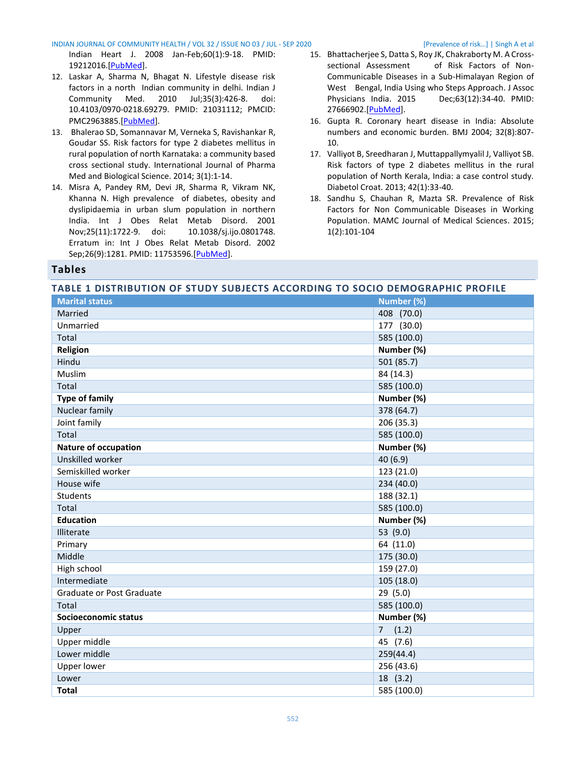#### INDIAN JOURNAL OF COMMUNITY HEALTH / VOL 32 / ISSUE NO 03 / JUL - SEP 2020 [Prevalence of risk…] | Singh A et al

Indian Heart J. 2008 Jan-Feb;60(1):9-18. PMID: 19212016.[\[PubMed\]](https://pubmed.ncbi.nlm.nih.gov/19212016/).

- 12. Laskar A, Sharma N, Bhagat N. Lifestyle disease risk factors in a north Indian community in delhi. Indian J Community Med. 2010 Jul;35(3):426-8. doi: 10.4103/0970-0218.69279. PMID: 21031112; PMCID: PMC2963885.[\[PubMed\]](https://pubmed.ncbi.nlm.nih.gov/21031112/).
- 13. Bhalerao SD, Somannavar M, Verneka S, Ravishankar R, Goudar SS. Risk factors for type 2 diabetes mellitus in rural population of north Karnataka: a community based cross sectional study. International Journal of Pharma Med and Biological Science. 2014; 3(1):1-14.
- 14. Misra A, Pandey RM, Devi JR, Sharma R, Vikram NK, Khanna N. High prevalence of diabetes, obesity and dyslipidaemia in urban slum population in northern India. Int J Obes Relat Metab Disord. 2001 Nov;25(11):1722-9. doi: 10.1038/sj.ijo.0801748. Erratum in: Int J Obes Relat Metab Disord. 2002 Sep;26(9):1281. PMID: 11753596.[\[PubMed\]](ihttps://pubmed.ncbi.nlm.nih.gov/11753596/).
- 15. Bhattacherjee S, Datta S, Roy JK, Chakraborty M. A Crosssectional Assessment of Risk Factors of Non-Communicable Diseases in a Sub-Himalayan Region of West Bengal, India Using who Steps Approach. J Assoc Physicians India. 2015 Dec;63(12):34-40. PMID: 27666902.[\[PubMed\]](ihttps://pubmed.ncbi.nlm.nih.gov/27666902/).
- 16. Gupta R. Coronary heart disease in India: Absolute numbers and economic burden. BMJ 2004; 32(8):807- 10.
- 17. Valliyot B, Sreedharan J, Muttappallymyalil J, Valliyot SB. Risk factors of type 2 diabetes mellitus in the rural population of North Kerala, India: a case control study. Diabetol Croat. 2013; 42(1):33-40.
- 18. Sandhu S, Chauhan R, Mazta SR. Prevalence of Risk Factors for Non Communicable Diseases in Working Population. MAMC Journal of Medical Sciences. 2015; 1(2):101-104

#### **Tables**

#### <span id="page-4-0"></span>**TABLE 1 DISTRIBUTION OF STUDY SUBJECTS ACCORDING TO SOCIO DEMOGRAPHIC PROFILE**

| <b>Marital status</b>       | Number (%)              |
|-----------------------------|-------------------------|
| Married                     | 408 (70.0)              |
| Unmarried                   | 177 (30.0)              |
| Total                       | 585 (100.0)             |
| Religion                    | Number (%)              |
| Hindu                       | 501 (85.7)              |
| Muslim                      | 84 (14.3)               |
| Total                       | 585 (100.0)             |
| <b>Type of family</b>       | Number (%)              |
| Nuclear family              | 378 (64.7)              |
| Joint family                | 206 (35.3)              |
| Total                       | 585 (100.0)             |
| <b>Nature of occupation</b> | Number (%)              |
| Unskilled worker            | 40 (6.9)                |
| Semiskilled worker          | 123 (21.0)              |
| House wife                  | 234 (40.0)              |
| Students                    | 188 (32.1)              |
| Total                       | 585 (100.0)             |
| <b>Education</b>            | Number (%)              |
| Illiterate                  | 53 (9.0)                |
| Primary                     | 64 (11.0)               |
| Middle                      | 175 (30.0)              |
| High school                 | 159 (27.0)              |
| Intermediate                | 105 (18.0)              |
| Graduate or Post Graduate   | 29 (5.0)                |
| Total                       | 585 (100.0)             |
| Socioeconomic status        | Number (%)              |
| Upper                       | $\overline{7}$<br>(1.2) |
| Upper middle                | 45<br>(7.6)             |
| Lower middle                | 259(44.4)               |
| <b>Upper lower</b>          | 256 (43.6)              |
| Lower                       | 18 (3.2)                |
| <b>Total</b>                | 585 (100.0)             |